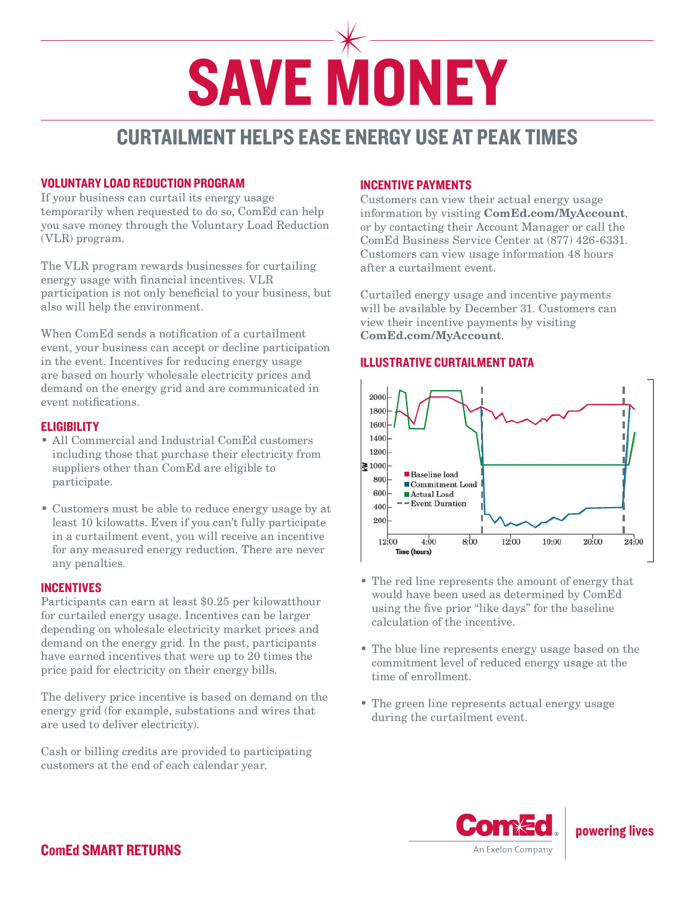

# CURTAILMENT HELPS EASE ENERGY USE AT PEAK TIMES

# VOLUNTARY LOAD REDUCTION PROGRAM

If your business can curtail its energy usage temporarily when requested to do so, ComEd can help you save money through the Voluntary Load Reduction (VLR) program.

The VLR program rewards businesses for curtailing energy usage with financial incentives. VLR participation is not only beneficial to your business, but also will help the environment.

When ComEd sends a notification of a curtailment event, your business can accept or decline participation in the event. Incentives for reducing energy usage are based on hourly wholesale electricity prices and demand on the energy grid and are communicated in event notifications.

# **ELIGIBILITY**

- All Commercial and Industrial ComEd customers including those that purchase their electricity from suppliers other than ComEd are eligible to participate.
- Customers must be able to reduce energy usage by at least 10 kilowatts. Even if you can't fully participate in a curtailment event, you will receive an incentive for any measured energy reduction. There are never any penalties.

## INCENTIVES

Participants can earn at least \$0.25 per kilowatthour for curtailed energy usage. Incentives can be larger depending on wholesale electricity market prices and demand on the energy grid. In the past, participants have earned incentives that were up to 20 times the price paid for electricity on their energy bills.

The delivery price incentive is based on demand on the energy grid (for example, substations and wires that are used to deliver electricity).

Cash or billing credits are provided to participating customers at the end of each calendar year.

# INCENTIVE PAYMENTS

Customers can view their actual energy usage information by visiting ComEd.com/MyAccount, or by contacting their Account Manager or call the ComEd Business Service Center at (877) 426-6331. Customers can view usage information 48 hours after a curtailment event.

Curtailed energy usage and incentive payments will be available by December 31. Customers can view their incentive payments by visiting ComEd.com/MyAccount.

# ILLUSTRATIVE CURTAILMENT DATA



- The red line represents the amount of energy that would have been used as determined by ComEd using the five prior "like days" for the baseline calculation of the incentive.
- The blue line represents energy usage based on the commitment level of reduced energy usage at the time of enrollment.
- The green line represents actual energy usage during the curtailment event.



powering lives

ComEd SMART RETURNS